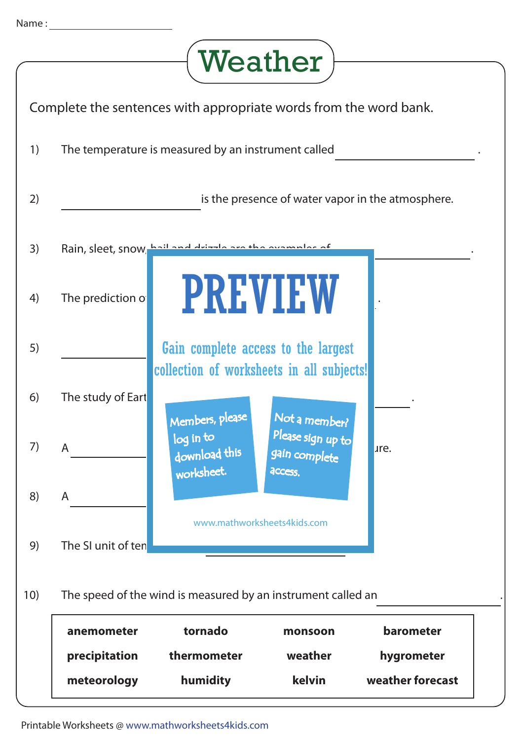